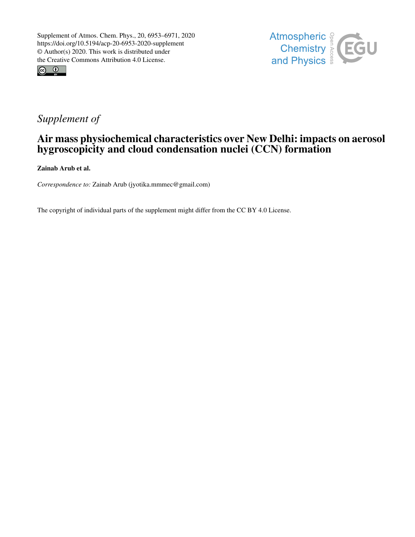



## *Supplement of*

## Air mass physiochemical characteristics over New Delhi: impacts on aerosol hygroscopicity and cloud condensation nuclei (CCN) formation

Zainab Arub et al.

*Correspondence to:* Zainab Arub (jyotika.mmmec@gmail.com)

The copyright of individual parts of the supplement might differ from the CC BY 4.0 License.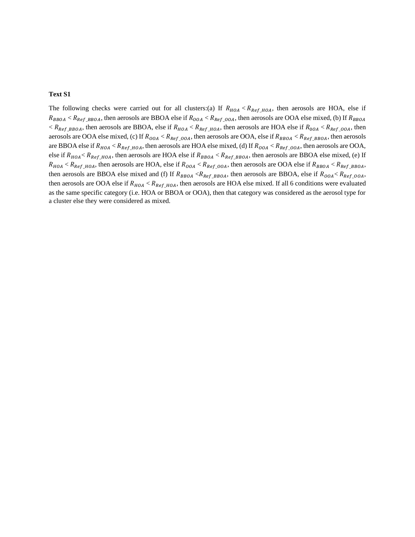## **Text S1**

The following checks were carried out for all clusters:(a) If  $R_{HOA} < R_{Ref_HOA}$ , then aerosols are HOA, else if  $R_{BBOA} < R_{Ref\_BBOA}$ , then aerosols are BBOA else if  $R_{OOA} < R_{Ref\_OOA}$ , then aerosols are OOA else mixed, (b) If  $R_{BBOA}$  $R_{Ref\_BBOA}$ , then aerosols are BBOA, else if  $R_{HOA} < R_{Ref\_HOA}$ , then aerosols are HOA else if  $R_{0OA} < R_{Ref\_OOA}$ , then aerosols are OOA else mixed, (c) If  $R_{OOA} < R_{Ref,OOA}$ , then aerosols are OOA, else if  $R_{BBOA} < R_{Ref, BBOA}$ , then aerosols are BBOA else if  $R_{HOA} < R_{Ref\_HOA}$ , then aerosols are HOA else mixed, (d) If  $R_{OOA} < R_{Ref\_OOA}$ , then aerosols are OOA, else if  $R_{HOA} < R_{Ref\_HOA}$ , then aerosols are HOA else if  $R_{BBOA} < R_{Ref\_BBOA}$ , then aerosols are BBOA else mixed, (e) If  $R_{HOA} < R_{Ref\_HOA}$ , then aerosols are HOA, else if  $R_{OOA} < R_{Ref\_OOA}$ , then aerosols are OOA else if  $R_{BBOA} < R_{Ref\_BBOA}$ , then aerosols are BBOA else mixed and (f) If  $R_{BBOA} < R_{Ref_BBOA}$ , then aerosols are BBOA, else if  $R_{OOA} < R_{Ref_OOA}$ , then aerosols are OOA else if  $R_{HOA} < R_{Ref\_HOA}$ , then aerosols are HOA else mixed. If all 6 conditions were evaluated as the same specific category (i.e. HOA or BBOA or OOA), then that category was considered as the aerosol type for a cluster else they were considered as mixed.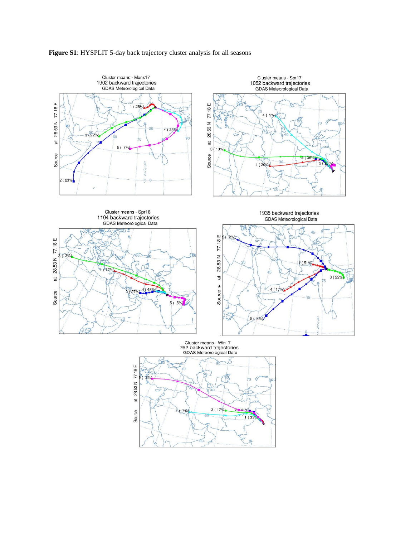

## **Figure S1**: HYSPLIT 5-day back trajectory cluster analysis for all seasons

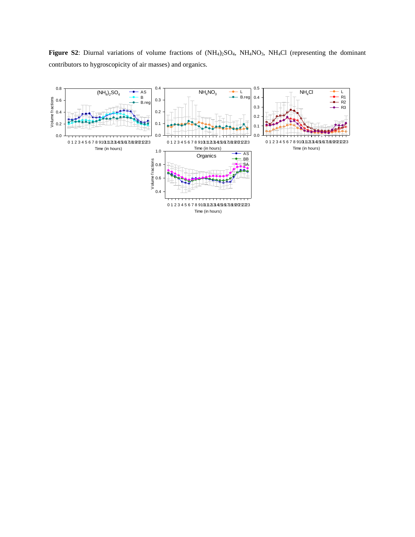Figure S2: Diurnal variations of volume fractions of (NH<sub>4</sub>)<sub>2</sub>SO<sub>4</sub>, NH<sub>4</sub>NO<sub>3</sub>, NH<sub>4</sub>Cl (representing the dominant contributors to hygroscopicity of air masses) and organics.

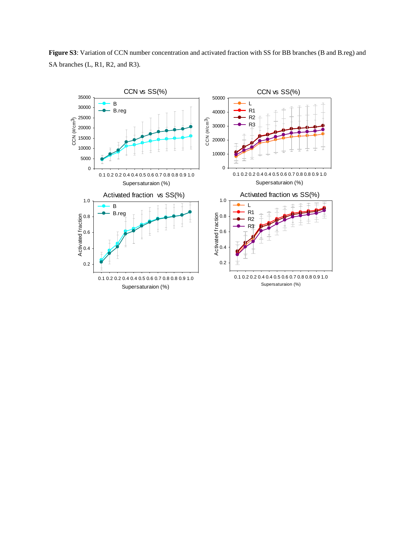**Figure S3**: Variation of CCN number concentration and activated fraction with SS for BB branches (B and B.reg) and SA branches (L, R1, R2, and R3).

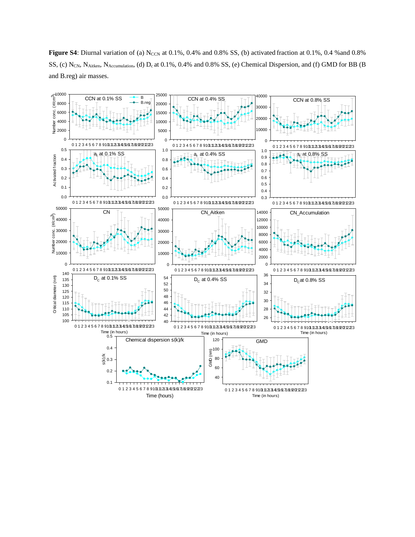**Figure S4**: Diurnal variation of (a)  $N_{CCN}$  at 0.1%, 0.4% and 0.8% SS, (b) activated fraction at 0.1%, 0.4 % and 0.8% SS, (c) N<sub>CN</sub>, N<sub>Aitken</sub>, N<sub>Accumulation</sub>, (d) D<sub>c</sub> at 0.1%, 0.4% and 0.8% SS, (e) Chemical Dispersion, and (f) GMD for BB (B and B.reg) air masses.

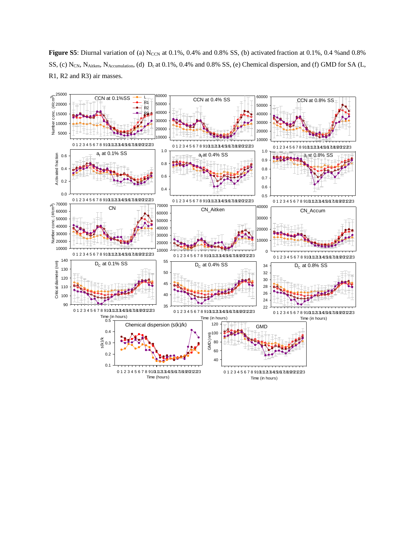**Figure S5**: Diurnal variation of (a)  $N_{CCN}$  at 0.1%, 0.4% and 0.8% SS, (b) activated fraction at 0.1%, 0.4 % and 0.8% SS, (c) N<sub>CN</sub>, N<sub>Aitken</sub>, N<sub>Accumulation</sub>, (d) D<sub>c</sub> at 0.1%, 0.4% and 0.8% SS, (e) Chemical dispersion, and (f) GMD for SA (L, R1, R2 and R3) air masses.

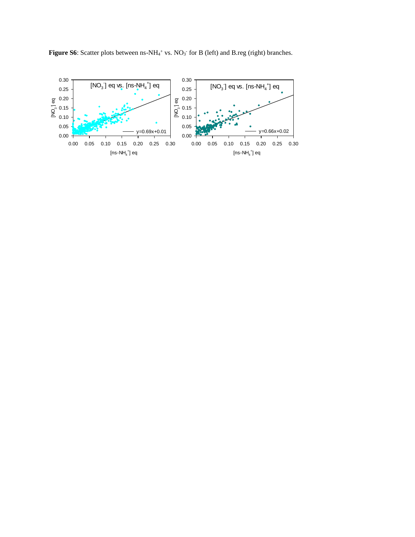**Figure S6**: Scatter plots between  $ns-NH_4$ <sup>+</sup> vs.  $NO_3$ <sup>-</sup> for B (left) and B.reg (right) branches.

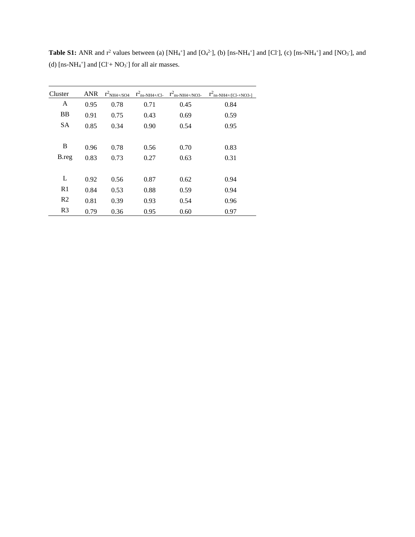| Cluster        | <b>ANR</b> | $r^2$ <sub>NH4+/SO4</sub> | $r^2$ <sub>ns-NH4+/Cl-</sub> | $r^2$ <sub>ns</sub> -NH4+/NO3- | $r^2$ <sub>ns</sub> -NH <sub>4+/[Cl-+NO3-]</sub> |
|----------------|------------|---------------------------|------------------------------|--------------------------------|--------------------------------------------------|
| A              | 0.95       | 0.78                      | 0.71                         | 0.45                           | 0.84                                             |
| <b>BB</b>      | 0.91       | 0.75                      | 0.43                         | 0.69                           | 0.59                                             |
| <b>SA</b>      | 0.85       | 0.34                      | 0.90                         | 0.54                           | 0.95                                             |
|                |            |                           |                              |                                |                                                  |
| B              | 0.96       | 0.78                      | 0.56                         | 0.70                           | 0.83                                             |
| B.reg          | 0.83       | 0.73                      | 0.27                         | 0.63                           | 0.31                                             |
|                |            |                           |                              |                                |                                                  |
| L              | 0.92       | 0.56                      | 0.87                         | 0.62                           | 0.94                                             |
| R1             | 0.84       | 0.53                      | 0.88                         | 0.59                           | 0.94                                             |
| R <sub>2</sub> | 0.81       | 0.39                      | 0.93                         | 0.54                           | 0.96                                             |
| R <sub>3</sub> | 0.79       | 0.36                      | 0.95                         | 0.60                           | 0.97                                             |

**Table S1:** ANR and  $r^2$  values between (a)  $[NH_4^+]$  and  $[O_4^2]$ , (b)  $[ns-NH_4^+]$  and  $[Cl^+]$ , (c)  $[ns-NH_4^+]$  and  $[NO_3^+]$ , and (d)  $[ns-NH<sub>4</sub><sup>+</sup>]$  and  $[Cl<sup>+</sup> + NO<sub>3</sub><sup>-</sup>]$  for all air masses.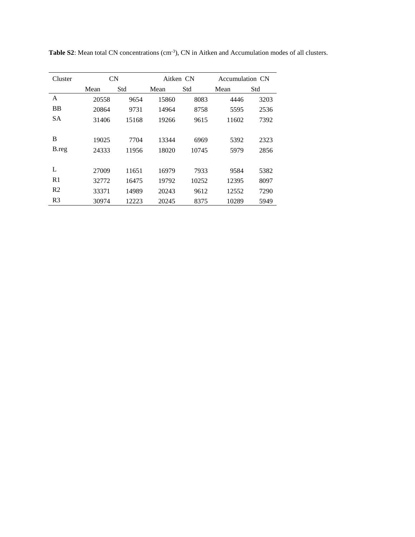| Cluster        | <b>CN</b> |       | Aitken CN |       | Accumulation CN |      |
|----------------|-----------|-------|-----------|-------|-----------------|------|
|                | Mean      | Std   | Mean      | Std   | Mean            | Std  |
| A              | 20558     | 9654  | 15860     | 8083  | 4446            | 3203 |
| <b>BB</b>      | 20864     | 9731  | 14964     | 8758  | 5595            | 2536 |
| <b>SA</b>      | 31406     | 15168 | 19266     | 9615  | 11602           | 7392 |
|                |           |       |           |       |                 |      |
| B              | 19025     | 7704  | 13344     | 6969  | 5392            | 2323 |
| B.reg          | 24333     | 11956 | 18020     | 10745 | 5979            | 2856 |
|                |           |       |           |       |                 |      |
| L              | 27009     | 11651 | 16979     | 7933  | 9584            | 5382 |
| R <sub>1</sub> | 32772     | 16475 | 19792     | 10252 | 12395           | 8097 |
| R <sub>2</sub> | 33371     | 14989 | 20243     | 9612  | 12552           | 7290 |
| R <sub>3</sub> | 30974     | 12223 | 20245     | 8375  | 10289           | 5949 |

Table S2: Mean total CN concentrations (cm<sup>-3</sup>), CN in Aitken and Accumulation modes of all clusters.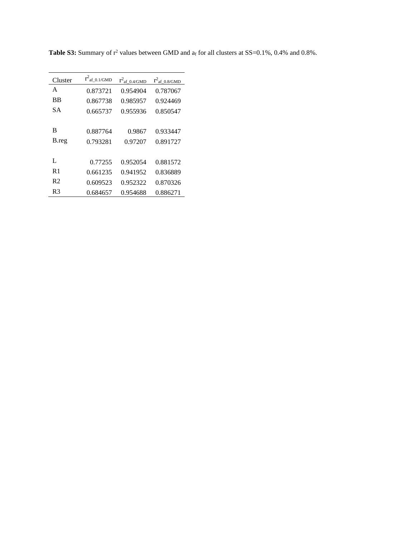| Cluster        | $r^2$ af_0.1/GMD | $r^2$ <sub>af_0.4/GMD</sub> | $r^2$ <sub>af_0.8/GMD</sub> |
|----------------|------------------|-----------------------------|-----------------------------|
| A              | 0.873721         | 0.954904                    | 0.787067                    |
| <b>BB</b>      | 0.867738         | 0.985957                    | 0.924469                    |
| SА             | 0.665737         | 0.955936                    | 0.850547                    |
|                |                  |                             |                             |
| B              | 0.887764         | 0.9867                      | 0.933447                    |
| B.reg          | 0.793281         | 0.97207                     | 0.891727                    |
|                |                  |                             |                             |
| L              | 0.77255          | 0.952054                    | 0.881572                    |
| R <sub>1</sub> | 0.661235         | 0.941952                    | 0.836889                    |
| R <sub>2</sub> | 0.609523         | 0.952322                    | 0.870326                    |
| R3             | 0.684657         | 0.954688                    | 0.886271                    |

**Table S3:** Summary of  $r^2$  values between GMD and  $a_f$  for all clusters at SS=0.1%, 0.4% and 0.8%.